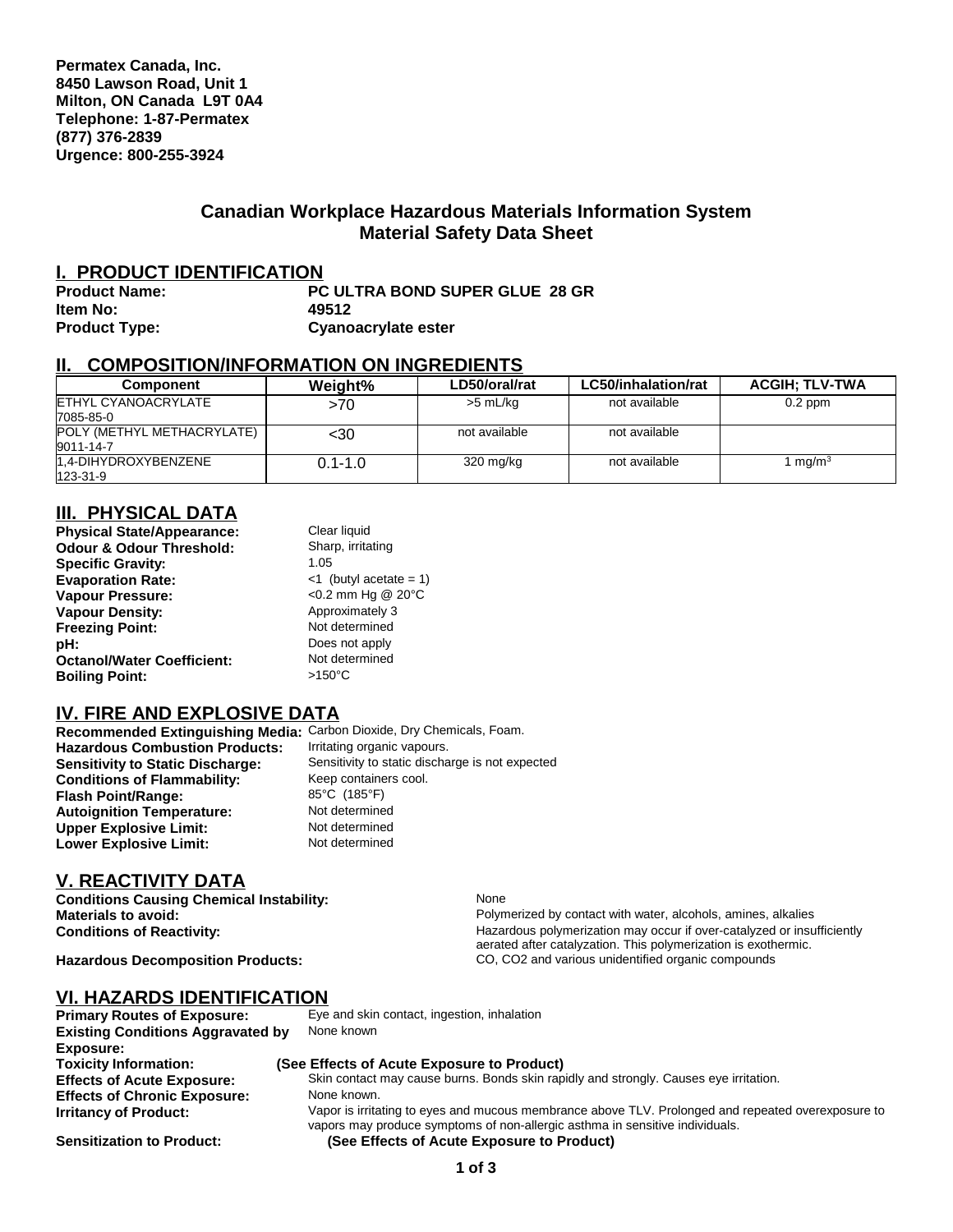#### **Canadian Workplace Hazardous Materials Information System Material Safety Data Sheet**

#### **I. PRODUCT IDENTIFICATION**

| <b>Product Name:</b> | <b>PC ULTRA BOND SUPER GLUE 28 GR</b> |
|----------------------|---------------------------------------|
| Item No:             | 49512                                 |
| <b>Product Type:</b> | Cyanoacrylate ester                   |

#### **II. COMPOSITION/INFORMATION ON INGREDIENTS**

| Component                               | Weight%     | LD50/oral/rat | LC50/inhalation/rat | <b>ACGIH: TLV-TWA</b> |
|-----------------------------------------|-------------|---------------|---------------------|-----------------------|
| ETHYL CYANOACRYLATE<br>7085-85-0        | >70         | >5 mL/kg      | not available       | $0.2$ ppm             |
| POLY (METHYL METHACRYLATE)<br>9011-14-7 | <30         | not available | not available       |                       |
| 1.4-DIHYDROXYBENZENE<br>123-31-9        | $0.1 - 1.0$ | 320 mg/kg     | not available       | 1 mg/m $^3$           |

### **III. PHYSICAL DATA**

| Clear liquid              |
|---------------------------|
| Sharp, irritating         |
| 1.05                      |
| $<$ 1 (butyl acetate = 1) |
| <0.2 mm Hg @ 20°C         |
| Approximately 3           |
| Not determined            |
| Does not apply            |
| Not determined            |
| $>150^{\circ}$ C          |
|                           |

#### **IV. FIRE AND EXPLOSIVE DATA**

| Recommended Extinguishing Media: Carbon Dioxide, Dry Chemicals, Foam. |                                                 |
|-----------------------------------------------------------------------|-------------------------------------------------|
| <b>Hazardous Combustion Products:</b>                                 | Irritating organic vapours.                     |
| <b>Sensitivity to Static Discharge:</b>                               | Sensitivity to static discharge is not expected |
| <b>Conditions of Flammability:</b>                                    | Keep containers cool.                           |
| <b>Flash Point/Range:</b>                                             | 85°C (185°F)                                    |
| <b>Autoignition Temperature:</b>                                      | Not determined                                  |
| <b>Upper Explosive Limit:</b>                                         | Not determined                                  |
| <b>Lower Explosive Limit:</b>                                         | Not determined                                  |

#### **V. REACTIVITY DATA**

**Conditions Causing Chemical Instability:** None

**Materials to avoid: Polymerized by contact with water, alcohols, amines, alkalies**<br> **Conditions of Reactivity:** This is a ready and the example of the Hazardous polymerization may occur if over-catalyzed or insurfact or Hazardous polymerization may occur if over-catalyzed or insufficiently aerated after catalyzation. This polymerization is exothermic. Hazardous Decomposition Products: CO, CO2 and various unidentified organic compounds

#### **VI. HAZARDS IDENTIFICATION**

| <b>Primary Routes of Exposure:</b>       | Eye and skin contact, ingestion, inhalation                                                                                                                                        |
|------------------------------------------|------------------------------------------------------------------------------------------------------------------------------------------------------------------------------------|
| <b>Existing Conditions Aggravated by</b> | None known                                                                                                                                                                         |
| Exposure:                                |                                                                                                                                                                                    |
| <b>Toxicity Information:</b>             | (See Effects of Acute Exposure to Product)                                                                                                                                         |
| <b>Effects of Acute Exposure:</b>        | Skin contact may cause burns. Bonds skin rapidly and strongly. Causes eye irritation.                                                                                              |
| <b>Effects of Chronic Exposure:</b>      | None known.                                                                                                                                                                        |
| <b>Irritancy of Product:</b>             | Vapor is irritating to eyes and mucous membrance above TLV. Prolonged and repeated overexposure to<br>vapors may produce symptoms of non-allergic asthma in sensitive individuals. |
| <b>Sensitization to Product:</b>         | (See Effects of Acute Exposure to Product)                                                                                                                                         |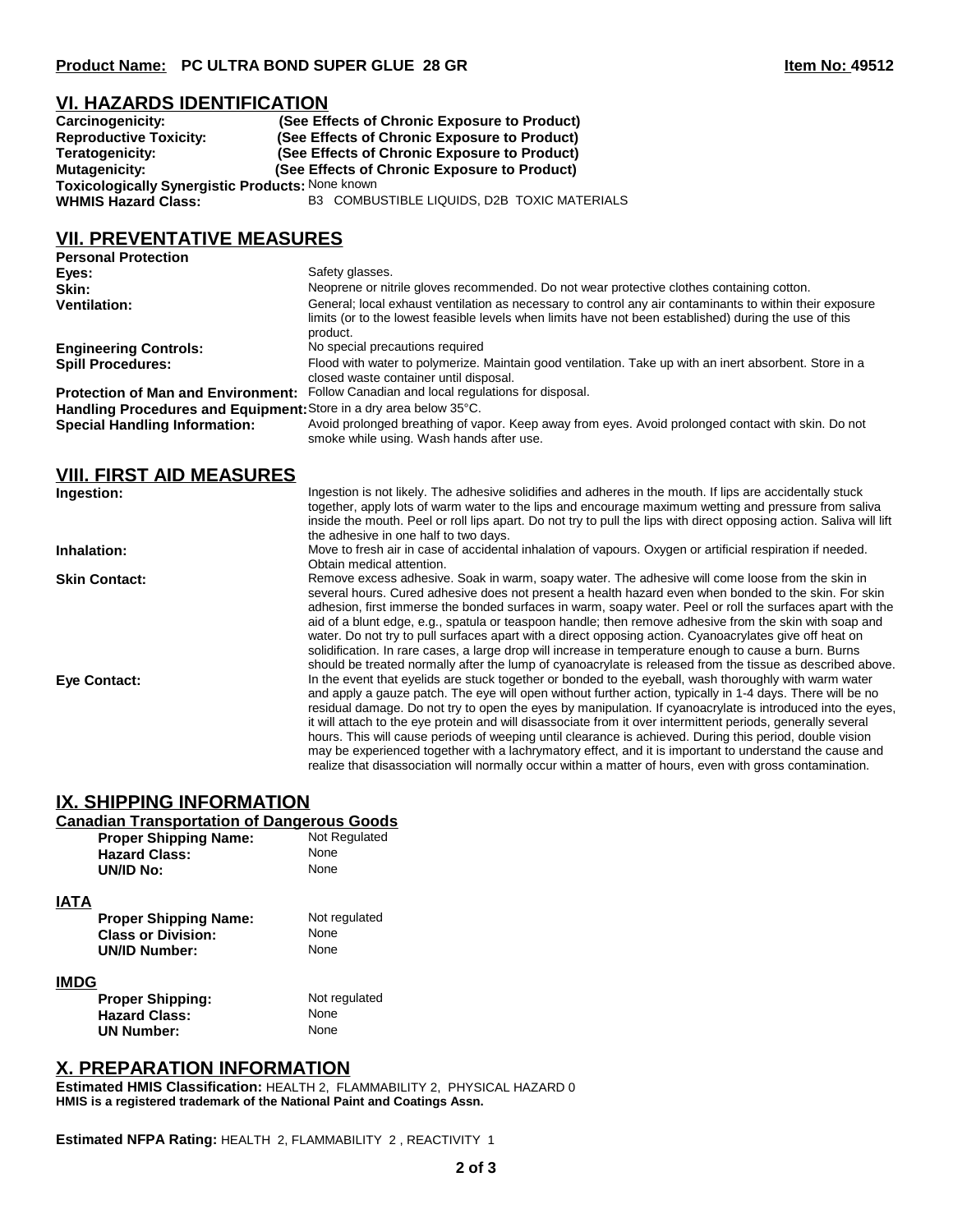#### **VI. HAZARDS IDENTIFICATION**

| Carcinogenicity:                                        | (See Effects of Chronic Exposure to Product) |  |
|---------------------------------------------------------|----------------------------------------------|--|
| <b>Reproductive Toxicity:</b>                           | (See Effects of Chronic Exposure to Product) |  |
| Teratogenicity:                                         | (See Effects of Chronic Exposure to Product) |  |
| Mutagenicity:                                           | (See Effects of Chronic Exposure to Product) |  |
| <b>Toxicologically Synergistic Products: None known</b> |                                              |  |
| <b>WHMIS Hazard Class:</b>                              | B3 COMBUSTIBLE LIQUIDS, D2B TOXIC MATERIALS  |  |

## **VII. PREVENTATIVE MEASURES**

| <b>Personal Protection</b>                                         |                                                                                                                                                                                                                                |
|--------------------------------------------------------------------|--------------------------------------------------------------------------------------------------------------------------------------------------------------------------------------------------------------------------------|
| Eyes:                                                              | Safety glasses.                                                                                                                                                                                                                |
| Skin:                                                              | Neoprene or nitrile gloves recommended. Do not wear protective clothes containing cotton.                                                                                                                                      |
| <b>Ventilation:</b>                                                | General; local exhaust ventilation as necessary to control any air contaminants to within their exposure<br>limits (or to the lowest feasible levels when limits have not been established) during the use of this<br>product. |
| <b>Engineering Controls:</b>                                       | No special precautions required                                                                                                                                                                                                |
| <b>Spill Procedures:</b>                                           | Flood with water to polymerize. Maintain good ventilation. Take up with an inert absorbent. Store in a<br>closed waste container until disposal.                                                                               |
| <b>Protection of Man and Environment:</b>                          | Follow Canadian and local regulations for disposal.                                                                                                                                                                            |
| Handling Procedures and Equipment: Store in a dry area below 35°C. |                                                                                                                                                                                                                                |
| <b>Special Handling Information:</b>                               | Avoid prolonged breathing of vapor. Keep away from eyes. Avoid prolonged contact with skin. Do not<br>smoke while using. Wash hands after use.                                                                                 |

| <b>VIII. FIRST AID MEASURES</b> |                                                                                                                                                                                                                                                                                                                                                                                                                                                                                                                                                                                                                                                                                                                                                                                        |
|---------------------------------|----------------------------------------------------------------------------------------------------------------------------------------------------------------------------------------------------------------------------------------------------------------------------------------------------------------------------------------------------------------------------------------------------------------------------------------------------------------------------------------------------------------------------------------------------------------------------------------------------------------------------------------------------------------------------------------------------------------------------------------------------------------------------------------|
| Ingestion:                      | Ingestion is not likely. The adhesive solidifies and adheres in the mouth. If lips are accidentally stuck<br>together, apply lots of warm water to the lips and encourage maximum wetting and pressure from saliva<br>inside the mouth. Peel or roll lips apart. Do not try to pull the lips with direct opposing action. Saliva will lift<br>the adhesive in one half to two days.                                                                                                                                                                                                                                                                                                                                                                                                    |
| Inhalation:                     | Move to fresh air in case of accidental inhalation of vapours. Oxygen or artificial respiration if needed.<br>Obtain medical attention.                                                                                                                                                                                                                                                                                                                                                                                                                                                                                                                                                                                                                                                |
| <b>Skin Contact:</b>            | Remove excess adhesive. Soak in warm, soapy water. The adhesive will come loose from the skin in<br>several hours. Cured adhesive does not present a health hazard even when bonded to the skin. For skin<br>adhesion, first immerse the bonded surfaces in warm, soapy water. Peel or roll the surfaces apart with the<br>aid of a blunt edge, e.g., spatula or teaspoon handle; then remove adhesive from the skin with soap and<br>water. Do not try to pull surfaces apart with a direct opposing action. Cyanoacrylates give off heat on<br>solidification. In rare cases, a large drop will increase in temperature enough to cause a burn. Burns<br>should be treated normally after the lump of cyanoacrylate is released from the tissue as described above.                  |
| Eye Contact:                    | In the event that eyelids are stuck together or bonded to the eyeball, wash thoroughly with warm water<br>and apply a gauze patch. The eye will open without further action, typically in 1-4 days. There will be no<br>residual damage. Do not try to open the eyes by manipulation. If cyanoacrylate is introduced into the eyes,<br>it will attach to the eye protein and will disassociate from it over intermittent periods, generally several<br>hours. This will cause periods of weeping until clearance is achieved. During this period, double vision<br>may be experienced together with a lachrymatory effect, and it is important to understand the cause and<br>realize that disassociation will normally occur within a matter of hours, even with gross contamination. |

#### **IX. SHIPPING INFORMATION**

# **Canadian Transportation of Dangerous Goods**<br>**Proper Shipping Name:** Not Regulated

|             |                              | Not Regulated |
|-------------|------------------------------|---------------|
|             | <b>Proper Shipping Name:</b> |               |
|             | <b>Hazard Class:</b>         | None          |
|             | UN/ID No:                    | None          |
|             |                              |               |
| <b>IATA</b> |                              |               |
|             | <b>Proper Shipping Name:</b> | Not regulated |

| Proper Shipping Name:     | <b>NOT requiate</b> |
|---------------------------|---------------------|
| <b>Class or Division:</b> | None                |
| <b>UN/ID Number:</b>      | None                |
|                           |                     |

| <b>IMDG</b>             |               |
|-------------------------|---------------|
| <b>Proper Shipping:</b> | Not regulated |
| <b>Hazard Class:</b>    | None          |
| <b>UN Number:</b>       | None          |

#### **X. PREPARATION INFORMATION**

**Estimated HMIS Classification:** HEALTH 2, FLAMMABILITY 2, PHYSICAL HAZARD 0 **HMIS is a registered trademark of the National Paint and Coatings Assn.**

**Estimated NFPA Rating:** HEALTH 2, FLAMMABILITY 2 , REACTIVITY 1